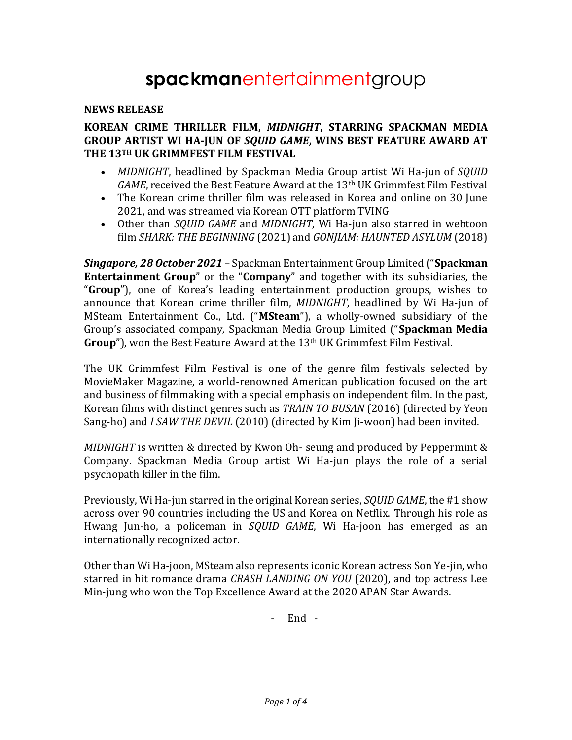# **spackman**entertainmentgroup

#### **NEWS RELEASE**

#### **KOREAN CRIME THRILLER FILM,** *MIDNIGHT***, STARRING SPACKMAN MEDIA GROUP ARTIST WI HA-JUN OF** *SQUID GAME***, WINS BEST FEATURE AWARD AT THE 13TH UK GRIMMFEST FILM FESTIVAL**

- *MIDNIGHT*, headlined by Spackman Media Group artist Wi Ha-jun of *SQUID*  GAME, received the Best Feature Award at the 13<sup>th</sup> UK Grimmfest Film Festival
- The Korean crime thriller film was released in Korea and online on 30 June 2021, and was streamed via Korean OTT platform TVING
- Other than *SQUID GAME* and *MIDNIGHT*, Wi Ha-jun also starred in webtoon film *SHARK: THE BEGINNING* (2021) and *GONJIAM: HAUNTED ASYLUM* (2018)

*Singapore, 28 October 2021* – Spackman Entertainment Group Limited ("**Spackman Entertainment Group**" or the "**Company**" and together with its subsidiaries, the "**Group**"), one of Korea's leading entertainment production groups, wishes to announce that Korean crime thriller film, *MIDNIGHT*, headlined by Wi Ha-jun of MSteam Entertainment Co., Ltd. ("**MSteam**"), a wholly-owned subsidiary of the Group's associated company, Spackman Media Group Limited ("**Spackman Media Group**"), won the Best Feature Award at the 13th UK Grimmfest Film Festival.

The UK Grimmfest Film Festival is one of the genre film festivals selected by MovieMaker Magazine, a world-renowned American publication focused on the art and business of filmmaking with a special emphasis on independent film. In the past, Korean films with distinct genres such as *TRAIN TO BUSAN* (2016) (directed by Yeon Sang-ho) and *I SAW THE DEVIL* (2010) (directed by Kim Ji-woon) had been invited.

*MIDNIGHT* is written & directed by Kwon Oh- seung and produced by Peppermint & Company. Spackman Media Group artist Wi Ha-jun plays the role of a serial psychopath killer in the film.

Previously, Wi Ha-jun starred in the original Korean series, *SQUID GAME*, the #1 show across over 90 countries including the US and Korea on Netflix. Through his role as Hwang Jun-ho, a policeman in *SQUID GAME*, Wi Ha-joon has emerged as an internationally recognized actor.

Other than Wi Ha-joon, MSteam also represents iconic Korean actress Son Ye-jin, who starred in hit romance drama *CRASH LANDING ON YOU* (2020), and top actress Lee Min-jung who won the Top Excellence Award at the 2020 APAN Star Awards.

- End -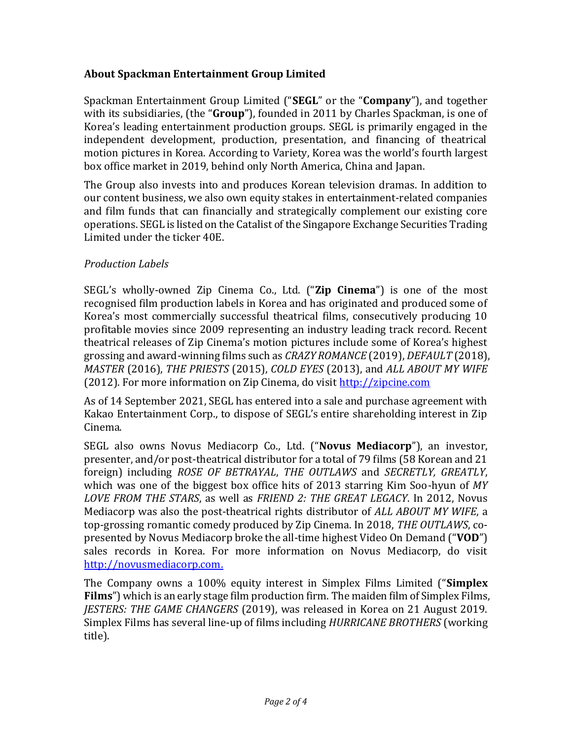# **About Spackman Entertainment Group Limited**

Spackman Entertainment Group Limited ("**SEGL**" or the "**Company**"), and together with its subsidiaries, (the "**Group**"), founded in 2011 by Charles Spackman, is one of Korea's leading entertainment production groups. SEGL is primarily engaged in the independent development, production, presentation, and financing of theatrical motion pictures in Korea. According to Variety, Korea was the world's fourth largest box office market in 2019, behind only North America, China and Japan.

The Group also invests into and produces Korean television dramas. In addition to our content business, we also own equity stakes in entertainment-related companies and film funds that can financially and strategically complement our existing core operations. SEGL is listed on the Catalist of the Singapore Exchange Securities Trading Limited under the ticker 40E.

#### *Production Labels*

SEGL's wholly-owned Zip Cinema Co., Ltd. ("**Zip Cinema**") is one of the most recognised film production labels in Korea and has originated and produced some of Korea's most commercially successful theatrical films, consecutively producing 10 profitable movies since 2009 representing an industry leading track record. Recent theatrical releases of Zip Cinema's motion pictures include some of Korea's highest grossing and award-winning films such as *CRAZY ROMANCE* (2019), *DEFAULT* (2018), *MASTER* (2016), *THE PRIESTS* (2015), *COLD EYES* (2013), and *ALL ABOUT MY WIFE* (2012). For more information on Zip Cinema, do visit [http://zipcine.com](http://zipcine.com/)

As of 14 September 2021, SEGL has entered into a sale and purchase agreement with Kakao Entertainment Corp., to dispose of SEGL's entire shareholding interest in Zip Cinema.

SEGL also owns Novus Mediacorp Co., Ltd. ("**Novus Mediacorp**"), an investor, presenter, and/or post-theatrical distributor for a total of 79 films (58 Korean and 21 foreign) including *ROSE OF BETRAYAL*, *THE OUTLAWS* and *SECRETLY, GREATLY*, which was one of the biggest box office hits of 2013 starring Kim Soo-hyun of *MY LOVE FROM THE STARS*, as well as *FRIEND 2: THE GREAT LEGACY*. In 2012, Novus Mediacorp was also the post-theatrical rights distributor of *ALL ABOUT MY WIFE*, a top-grossing romantic comedy produced by Zip Cinema. In 2018, *THE OUTLAWS*, copresented by Novus Mediacorp broke the all-time highest Video On Demand ("**VOD**") sales records in Korea. For more information on Novus Mediacorp, do visit [http://novusmediacorp.com.](http://novusmediacorp.com/)

The Company owns a 100% equity interest in Simplex Films Limited ("**Simplex Films**") which is an early stage film production firm. The maiden film of Simplex Films, *JESTERS: THE GAME CHANGERS* (2019), was released in Korea on 21 August 2019. Simplex Films has several line-up of films including *HURRICANE BROTHERS* (working title).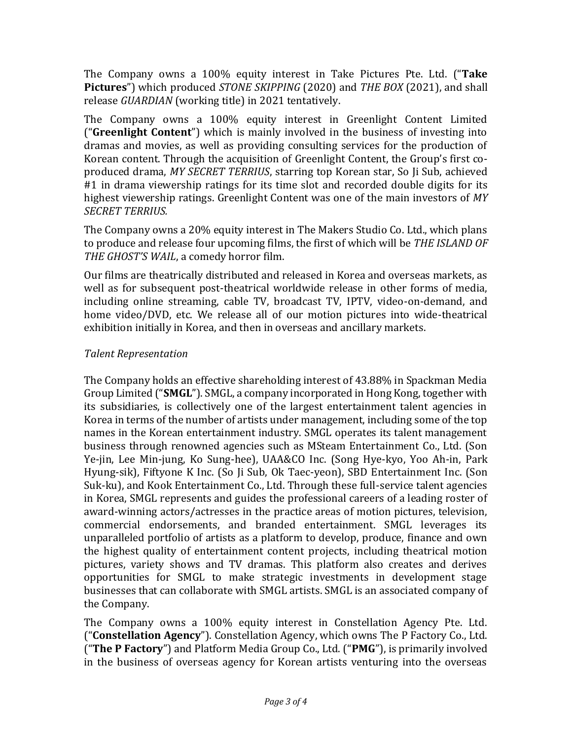The Company owns a 100% equity interest in Take Pictures Pte. Ltd. ("**Take Pictures**") which produced *STONE SKIPPING* (2020) and *THE BOX* (2021), and shall release *GUARDIAN* (working title) in 2021 tentatively.

The Company owns a 100% equity interest in Greenlight Content Limited ("**Greenlight Content**") which is mainly involved in the business of investing into dramas and movies, as well as providing consulting services for the production of Korean content. Through the acquisition of Greenlight Content, the Group's first coproduced drama, *MY SECRET TERRIUS*, starring top Korean star, So Ji Sub, achieved #1 in drama viewership ratings for its time slot and recorded double digits for its highest viewership ratings. Greenlight Content was one of the main investors of *MY SECRET TERRIUS.*

The Company owns a 20% equity interest in The Makers Studio Co. Ltd., which plans to produce and release four upcoming films, the first of which will be *THE ISLAND OF THE GHOST'S WAIL*, a comedy horror film.

Our films are theatrically distributed and released in Korea and overseas markets, as well as for subsequent post-theatrical worldwide release in other forms of media, including online streaming, cable TV, broadcast TV, IPTV, video-on-demand, and home video/DVD, etc. We release all of our motion pictures into wide-theatrical exhibition initially in Korea, and then in overseas and ancillary markets.

# *Talent Representation*

The Company holds an effective shareholding interest of 43.88% in Spackman Media Group Limited ("**SMGL**"). SMGL, a company incorporated in Hong Kong, together with its subsidiaries, is collectively one of the largest entertainment talent agencies in Korea in terms of the number of artists under management, including some of the top names in the Korean entertainment industry. SMGL operates its talent management business through renowned agencies such as MSteam Entertainment Co., Ltd. (Son Ye-jin, Lee Min-jung, Ko Sung-hee), UAA&CO Inc. (Song Hye-kyo, Yoo Ah-in, Park Hyung-sik), Fiftyone K Inc. (So Ji Sub, Ok Taec-yeon), SBD Entertainment Inc. (Son Suk-ku), and Kook Entertainment Co., Ltd. Through these full-service talent agencies in Korea, SMGL represents and guides the professional careers of a leading roster of award-winning actors/actresses in the practice areas of motion pictures, television, commercial endorsements, and branded entertainment. SMGL leverages its unparalleled portfolio of artists as a platform to develop, produce, finance and own the highest quality of entertainment content projects, including theatrical motion pictures, variety shows and TV dramas. This platform also creates and derives opportunities for SMGL to make strategic investments in development stage businesses that can collaborate with SMGL artists. SMGL is an associated company of the Company.

The Company owns a 100% equity interest in Constellation Agency Pte. Ltd. ("**Constellation Agency**"). Constellation Agency, which owns The P Factory Co., Ltd. ("**The P Factory**") and Platform Media Group Co., Ltd. ("**PMG**"), is primarily involved in the business of overseas agency for Korean artists venturing into the overseas